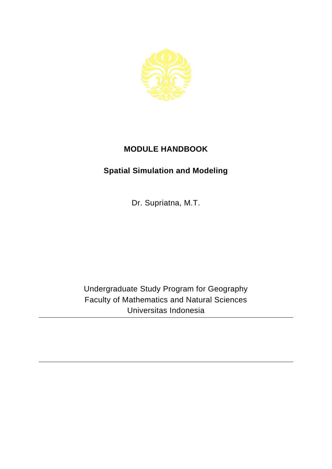

## **MODULE HANDBOOK**

## **Spatial Simulation and Modeling**

Dr. Supriatna, M.T.

Undergraduate Study Program for Geography Faculty of Mathematics and Natural Sciences Universitas Indonesia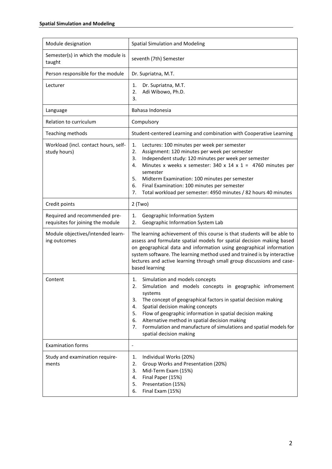| Module designation                                                 | Spatial Simulation and Modeling                                                                                                                                                                                                                                                                                                                                                                                                                                     |
|--------------------------------------------------------------------|---------------------------------------------------------------------------------------------------------------------------------------------------------------------------------------------------------------------------------------------------------------------------------------------------------------------------------------------------------------------------------------------------------------------------------------------------------------------|
| Semester(s) in which the module is<br>taught                       | seventh (7th) Semester                                                                                                                                                                                                                                                                                                                                                                                                                                              |
| Person responsible for the module                                  | Dr. Supriatna, M.T.                                                                                                                                                                                                                                                                                                                                                                                                                                                 |
| Lecturer                                                           | 1.<br>Dr. Supriatna, M.T.<br>2.<br>Adi Wibowo, Ph.D.<br>3.                                                                                                                                                                                                                                                                                                                                                                                                          |
| Language                                                           | Bahasa Indonesia                                                                                                                                                                                                                                                                                                                                                                                                                                                    |
| Relation to curriculum                                             | Compulsory                                                                                                                                                                                                                                                                                                                                                                                                                                                          |
| Teaching methods                                                   | Student-centered Learning and combination with Cooperative Learning                                                                                                                                                                                                                                                                                                                                                                                                 |
| Workload (incl. contact hours, self-<br>study hours)               | 1.<br>Lectures: 100 minutes per week per semester<br>2.<br>Assignment: 120 minutes per week per semester<br>Independent study: 120 minutes per week per semester<br>3.<br>Minutes x weeks x semester: 340 x 14 x 1 = 4760 minutes per<br>4.<br>semester<br>5.<br>Midterm Examination: 100 minutes per semester<br>6.<br>Final Examination: 100 minutes per semester<br>Total workload per semester: 4950 minutes / 82 hours 40 minutes<br>7.                        |
| Credit points                                                      | $2$ (Two)                                                                                                                                                                                                                                                                                                                                                                                                                                                           |
| Required and recommended pre-<br>requisites for joining the module | Geographic Information System<br>1.<br>Geographic Information System Lab<br>2.                                                                                                                                                                                                                                                                                                                                                                                      |
| Module objectives/intended learn-<br>ing outcomes                  | The learning achievement of this course is that students will be able to<br>assess and formulate spatial models for spatial decision making based<br>on geographical data and information using geographical information<br>system software. The learning method used and trained is by interactive<br>lectures and active learning through small group discussions and case-<br>based learning                                                                     |
| Content                                                            | Simulation and models concepts<br>1.<br>Simulation and models concepts in geographic infromement<br>z.<br>systems<br>The concept of geographical factors in spatial decision making<br>3.<br>Spatial decision making concepts<br>4.<br>Flow of geographic information in spatial decision making<br>5.<br>Alternative method in spatial decision making<br>6.<br>Formulation and manufacture of simulations and spatial models for<br>7.<br>spatial decision making |
| <b>Examination forms</b>                                           | $\qquad \qquad \blacksquare$                                                                                                                                                                                                                                                                                                                                                                                                                                        |
| Study and examination require-<br>ments                            | Individual Works (20%)<br>1.<br>2.<br>Group Works and Presentation (20%)<br>3.<br>Mid-Term Exam (15%)<br>Final Paper (15%)<br>4.<br>Presentation (15%)<br>5.<br>Final Exam (15%)<br>6.                                                                                                                                                                                                                                                                              |